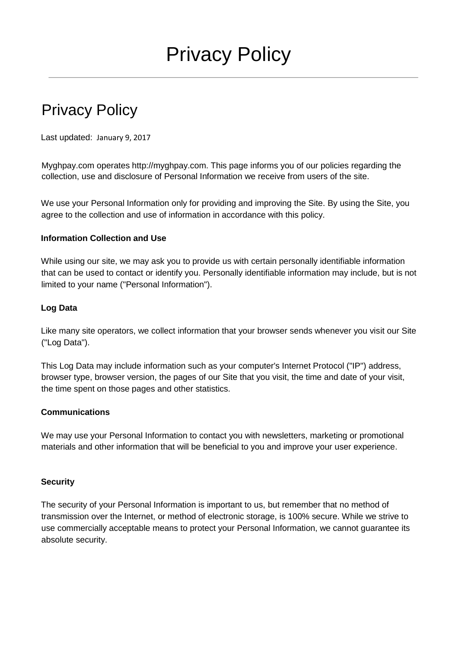# Privacy Policy

Last updated: January 9, 2017

Myghpay.com operates http://myghpay.com. This page informs you of our policies regarding the collection, use and disclosure of Personal Information we receive from users of the site.

We use your Personal Information only for providing and improving the Site. By using the Site, you agree to the collection and use of information in accordance with this policy.

## **Information Collection and Use**

While using our site, we may ask you to provide us with certain personally identifiable information that can be used to contact or identify you. Personally identifiable information may include, but is not limited to your name ("Personal Information").

## **Log Data**

Like many site operators, we collect information that your browser sends whenever you visit our Site ("Log Data").

This Log Data may include information such as your computer's Internet Protocol ("IP") address, browser type, browser version, the pages of our Site that you visit, the time and date of your visit, the time spent on those pages and other statistics.

#### **Communications**

We may use your Personal Information to contact you with newsletters, marketing or promotional materials and other information that will be beneficial to you and improve your user experience.

# **Security**

The security of your Personal Information is important to us, but remember that no method of transmission over the Internet, or method of electronic storage, is 100% secure. While we strive to use commercially acceptable means to protect your Personal Information, we cannot guarantee its absolute security.